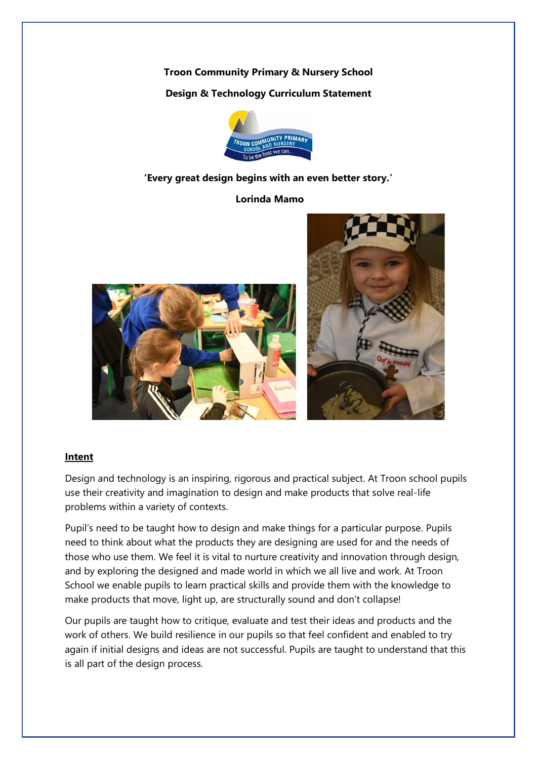**Troon Community Primary & Nursery School Design & Technology Curriculum Statement**



## **'Every great design begins with an even better story.'**

**Lorinda Mamo**





## **Intent**

Design and technology is an inspiring, rigorous and practical subject. At Troon school pupils use their creativity and imagination to design and make products that solve real-life problems within a variety of contexts.

Pupil's need to be taught how to design and make things for a particular purpose. Pupils need to think about what the products they are designing are used for and the needs of those who use them. We feel it is vital to nurture creativity and innovation through design, and by exploring the designed and made world in which we all live and work. At Troon School we enable pupils to learn practical skills and provide them with the knowledge to make products that move, light up, are structurally sound and don't collapse!

Our pupils are taught how to critique, evaluate and test their ideas and products and the work of others. We build resilience in our pupils so that feel confident and enabled to try again if initial designs and ideas are not successful. Pupils are taught to understand that this is all part of the design process.